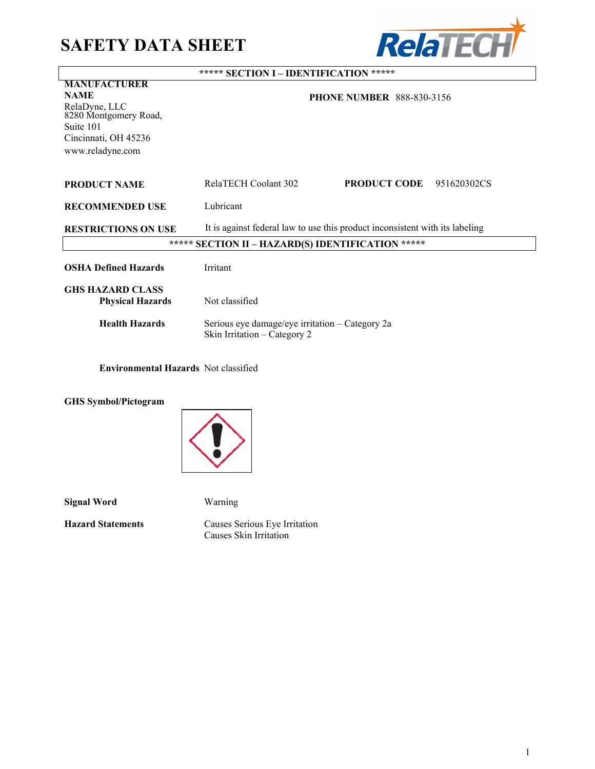# **SAFETY DATA SHEET**



|                                                                             | ***** SECTION I - IDENTIFICATION *****                                          |
|-----------------------------------------------------------------------------|---------------------------------------------------------------------------------|
| <b>MANUFACTURER</b><br><b>NAME</b>                                          |                                                                                 |
| RelaDyne, LLC<br>8280 Montgomery Road,<br>Suite 101<br>Cincinnati, OH 45236 | <b>PHONE NUMBER 888-830-3156</b>                                                |
| www.reladyne.com                                                            |                                                                                 |
| <b>PRODUCT NAME</b>                                                         | RelaTECH Coolant 302<br><b>PRODUCT CODE</b><br>951620302CS                      |
| <b>RECOMMENDED USE</b>                                                      | Lubricant                                                                       |
| <b>RESTRICTIONS ON USE</b>                                                  | It is against federal law to use this product inconsistent with its labeling    |
|                                                                             | ***** SECTION II - HAZARD(S) IDENTIFICATION *****                               |
| <b>OSHA Defined Hazards</b>                                                 | <b>Irritant</b>                                                                 |
| <b>GHS HAZARD CLASS</b><br><b>Physical Hazards</b>                          | Not classified                                                                  |
| <b>Health Hazards</b>                                                       | Serious eye damage/eye irritation – Category 2a<br>Skin Irritation - Category 2 |
| <b>Environmental Hazards</b> Not classified                                 |                                                                                 |

**GHS Symbol/Pictogram**



**Signal Word** Warning

**Hazard Statements** Causes Serious Eye Irritation Causes Skin Irritation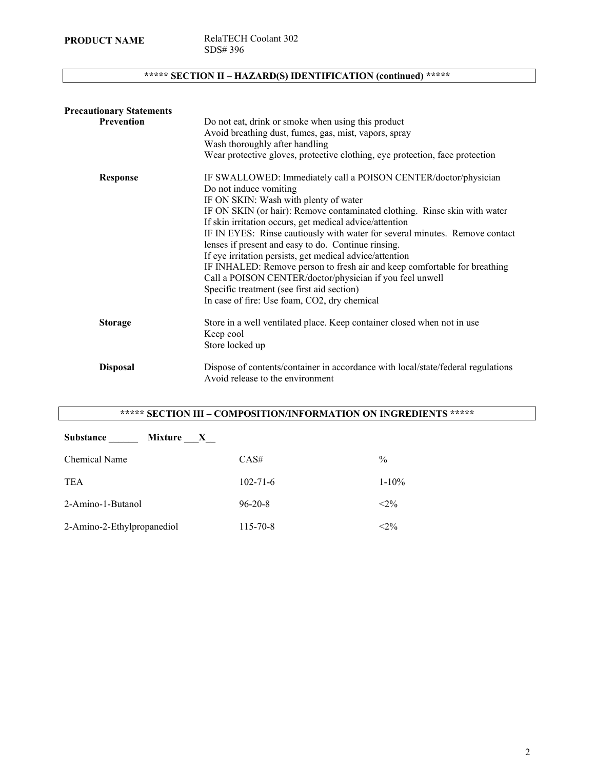**PRODUCT NAME** RelaTECH Coolant 302 SDS# 396

# **\*\*\*\*\* SECTION II – HAZARD(S) IDENTIFICATION (continued) \*\*\*\*\***

| <b>Precautionary Statements</b> |                                                                                                                                       |
|---------------------------------|---------------------------------------------------------------------------------------------------------------------------------------|
| <b>Prevention</b>               | Do not eat, drink or smoke when using this product                                                                                    |
|                                 | Avoid breathing dust, fumes, gas, mist, vapors, spray                                                                                 |
|                                 | Wash thoroughly after handling                                                                                                        |
|                                 | Wear protective gloves, protective clothing, eye protection, face protection                                                          |
| <b>Response</b>                 | IF SWALLOWED: Immediately call a POISON CENTER/doctor/physician                                                                       |
|                                 | Do not induce vomiting                                                                                                                |
|                                 | IF ON SKIN: Wash with plenty of water                                                                                                 |
|                                 | IF ON SKIN (or hair): Remove contaminated clothing. Rinse skin with water                                                             |
|                                 | If skin irritation occurs, get medical advice/attention                                                                               |
|                                 | IF IN EYES: Rinse cautiously with water for several minutes. Remove contact                                                           |
|                                 | lenses if present and easy to do. Continue rinsing.                                                                                   |
|                                 | If eye irritation persists, get medical advice/attention                                                                              |
|                                 | IF INHALED: Remove person to fresh air and keep comfortable for breathing<br>Call a POISON CENTER/doctor/physician if you feel unwell |
|                                 | Specific treatment (see first aid section)                                                                                            |
|                                 | In case of fire: Use foam, CO2, dry chemical                                                                                          |
| <b>Storage</b>                  | Store in a well ventilated place. Keep container closed when not in use                                                               |
|                                 | Keep cool                                                                                                                             |
|                                 | Store locked up                                                                                                                       |
| <b>Disposal</b>                 | Dispose of contents/container in accordance with local/state/federal regulations<br>Avoid release to the environment                  |

# **\*\*\*\*\* SECTION III – COMPOSITION/INFORMATION ON INGREDIENTS \*\*\*\*\***

| <b>Substance</b><br>Mixture X |                |               |
|-------------------------------|----------------|---------------|
| <b>Chemical Name</b>          | CAS#           | $\frac{0}{0}$ |
| <b>TEA</b>                    | $102 - 71 - 6$ | $1 - 10\%$    |
| 2-Amino-1-Butanol             | $96 - 20 - 8$  | $< 2\%$       |
| 2-Amino-2-Ethylpropanediol    | 115-70-8       | $< 2\%$       |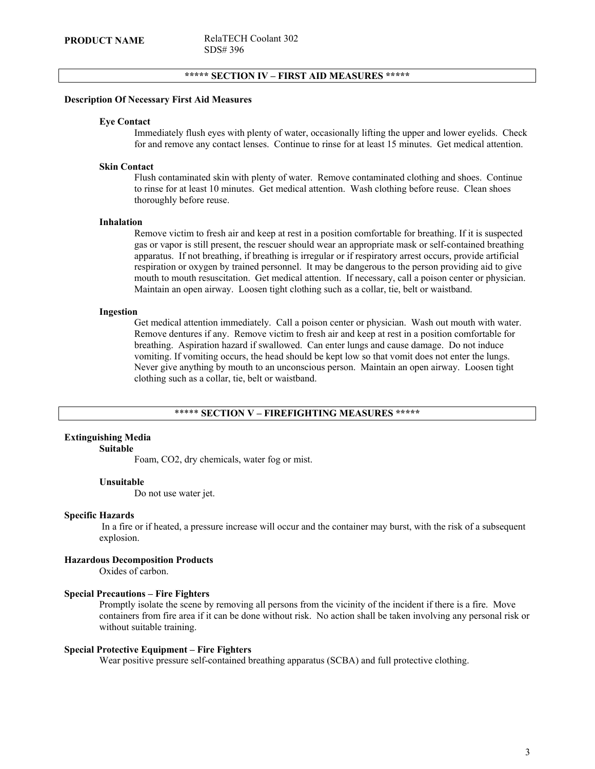# **\*\*\*\*\* SECTION IV – FIRST AID MEASURES \*\*\*\*\***

#### **Description Of Necessary First Aid Measures**

#### **Eye Contact**

Immediately flush eyes with plenty of water, occasionally lifting the upper and lower eyelids. Check for and remove any contact lenses. Continue to rinse for at least 15 minutes. Get medical attention.

#### **Skin Contact**

Flush contaminated skin with plenty of water. Remove contaminated clothing and shoes. Continue to rinse for at least 10 minutes. Get medical attention. Wash clothing before reuse. Clean shoes thoroughly before reuse.

#### **Inhalation**

Remove victim to fresh air and keep at rest in a position comfortable for breathing. If it is suspected gas or vapor is still present, the rescuer should wear an appropriate mask or self-contained breathing apparatus. If not breathing, if breathing is irregular or if respiratory arrest occurs, provide artificial respiration or oxygen by trained personnel. It may be dangerous to the person providing aid to give mouth to mouth resuscitation. Get medical attention. If necessary, call a poison center or physician. Maintain an open airway. Loosen tight clothing such as a collar, tie, belt or waistband.

#### **Ingestion**

Get medical attention immediately. Call a poison center or physician. Wash out mouth with water. Remove dentures if any. Remove victim to fresh air and keep at rest in a position comfortable for breathing. Aspiration hazard if swallowed. Can enter lungs and cause damage. Do not induce vomiting. If vomiting occurs, the head should be kept low so that vomit does not enter the lungs. Never give anything by mouth to an unconscious person. Maintain an open airway. Loosen tight clothing such as a collar, tie, belt or waistband.

#### \*\*\*\*\* **SECTION V – FIREFIGHTING MEASURES \*\*\*\*\***

# **Extinguishing Media**

#### **Suitable**

Foam, CO2, dry chemicals, water fog or mist.

#### **Unsuitable**

Do not use water jet.

#### **Specific Hazards**

 In a fire or if heated, a pressure increase will occur and the container may burst, with the risk of a subsequent explosion.

# **Hazardous Decomposition Products**

Oxides of carbon.

#### **Special Precautions – Fire Fighters**

Promptly isolate the scene by removing all persons from the vicinity of the incident if there is a fire. Move containers from fire area if it can be done without risk. No action shall be taken involving any personal risk or without suitable training.

#### **Special Protective Equipment – Fire Fighters**

Wear positive pressure self-contained breathing apparatus (SCBA) and full protective clothing.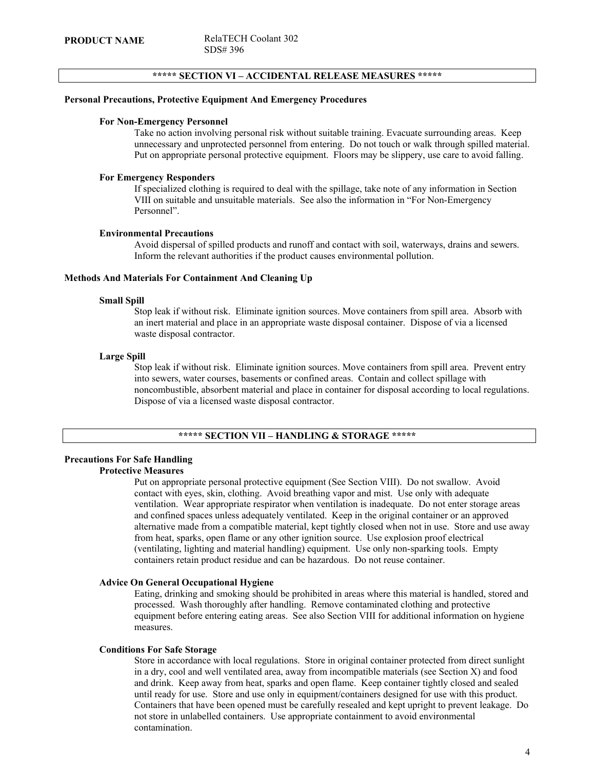# **\*\*\*\*\* SECTION VI – ACCIDENTAL RELEASE MEASURES \*\*\*\*\***

#### **Personal Precautions, Protective Equipment And Emergency Procedures**

#### **For Non-Emergency Personnel**

Take no action involving personal risk without suitable training. Evacuate surrounding areas. Keep unnecessary and unprotected personnel from entering. Do not touch or walk through spilled material. Put on appropriate personal protective equipment. Floors may be slippery, use care to avoid falling.

# **For Emergency Responders**

If specialized clothing is required to deal with the spillage, take note of any information in Section VIII on suitable and unsuitable materials. See also the information in "For Non-Emergency Personnel".

#### **Environmental Precautions**

Avoid dispersal of spilled products and runoff and contact with soil, waterways, drains and sewers. Inform the relevant authorities if the product causes environmental pollution.

# **Methods And Materials For Containment And Cleaning Up**

#### **Small Spill**

Stop leak if without risk. Eliminate ignition sources. Move containers from spill area. Absorb with an inert material and place in an appropriate waste disposal container. Dispose of via a licensed waste disposal contractor.

### **Large Spill**

Stop leak if without risk. Eliminate ignition sources. Move containers from spill area. Prevent entry into sewers, water courses, basements or confined areas. Contain and collect spillage with noncombustible, absorbent material and place in container for disposal according to local regulations. Dispose of via a licensed waste disposal contractor.

#### **\*\*\*\*\* SECTION VII – HANDLING & STORAGE \*\*\*\*\***

# **Precautions For Safe Handling Protective Measures**

Put on appropriate personal protective equipment (See Section VIII). Do not swallow. Avoid contact with eyes, skin, clothing. Avoid breathing vapor and mist. Use only with adequate ventilation. Wear appropriate respirator when ventilation is inadequate. Do not enter storage areas and confined spaces unless adequately ventilated. Keep in the original container or an approved alternative made from a compatible material, kept tightly closed when not in use. Store and use away from heat, sparks, open flame or any other ignition source. Use explosion proof electrical (ventilating, lighting and material handling) equipment. Use only non-sparking tools. Empty containers retain product residue and can be hazardous. Do not reuse container.

#### **Advice On General Occupational Hygiene**

Eating, drinking and smoking should be prohibited in areas where this material is handled, stored and processed. Wash thoroughly after handling. Remove contaminated clothing and protective equipment before entering eating areas. See also Section VIII for additional information on hygiene measures.

#### **Conditions For Safe Storage**

Store in accordance with local regulations. Store in original container protected from direct sunlight in a dry, cool and well ventilated area, away from incompatible materials (see Section X) and food and drink. Keep away from heat, sparks and open flame. Keep container tightly closed and sealed until ready for use. Store and use only in equipment/containers designed for use with this product. Containers that have been opened must be carefully resealed and kept upright to prevent leakage. Do not store in unlabelled containers. Use appropriate containment to avoid environmental contamination.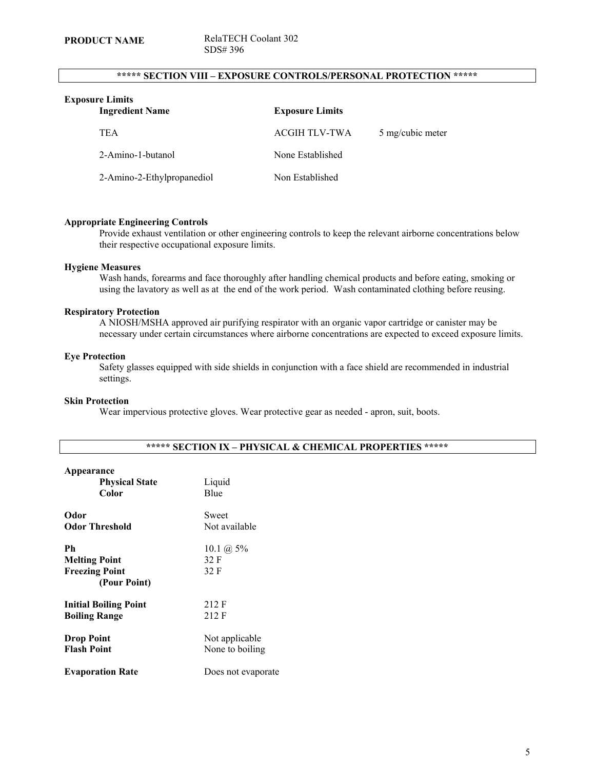# **\*\*\*\*\* SECTION VIII – EXPOSURE CONTROLS/PERSONAL PROTECTION \*\*\*\*\***

| <b>Exposure Limits</b><br><b>Ingredient Name</b> | <b>Exposure Limits</b> |                  |
|--------------------------------------------------|------------------------|------------------|
| <b>TEA</b>                                       | <b>ACGIH TLV-TWA</b>   | 5 mg/cubic meter |
| 2-Amino-1-butanol                                | None Established       |                  |
| 2-Amino-2-Ethylpropanediol                       | Non Established        |                  |

#### **Appropriate Engineering Controls**

Provide exhaust ventilation or other engineering controls to keep the relevant airborne concentrations below their respective occupational exposure limits.

#### **Hygiene Measures**

Wash hands, forearms and face thoroughly after handling chemical products and before eating, smoking or using the lavatory as well as at the end of the work period. Wash contaminated clothing before reusing.

## **Respiratory Protection**

A NIOSH/MSHA approved air purifying respirator with an organic vapor cartridge or canister may be necessary under certain circumstances where airborne concentrations are expected to exceed exposure limits.

#### **Eye Protection**

Safety glasses equipped with side shields in conjunction with a face shield are recommended in industrial settings.

#### **Skin Protection**

Wear impervious protective gloves. Wear protective gear as needed - apron, suit, boots.

| Appearance<br><b>Physical State</b><br>Color                        | Liquid<br>Blue                        |
|---------------------------------------------------------------------|---------------------------------------|
| Odor                                                                | Sweet                                 |
| <b>Odor Threshold</b>                                               | Not available                         |
| Ph<br><b>Melting Point</b><br><b>Freezing Point</b><br>(Pour Point) | 10.1 ( $\hat{a}$ ) 5%<br>32 F<br>32 F |
| <b>Initial Boiling Point</b>                                        | 212 F                                 |
| <b>Boiling Range</b>                                                | 212 F                                 |
| <b>Drop Point</b>                                                   | Not applicable                        |
| <b>Flash Point</b>                                                  | None to boiling                       |
| <b>Evaporation Rate</b>                                             | Does not evaporate                    |

# **\*\*\*\*\* SECTION IX – PHYSICAL & CHEMICAL PROPERTIES \*\*\*\*\***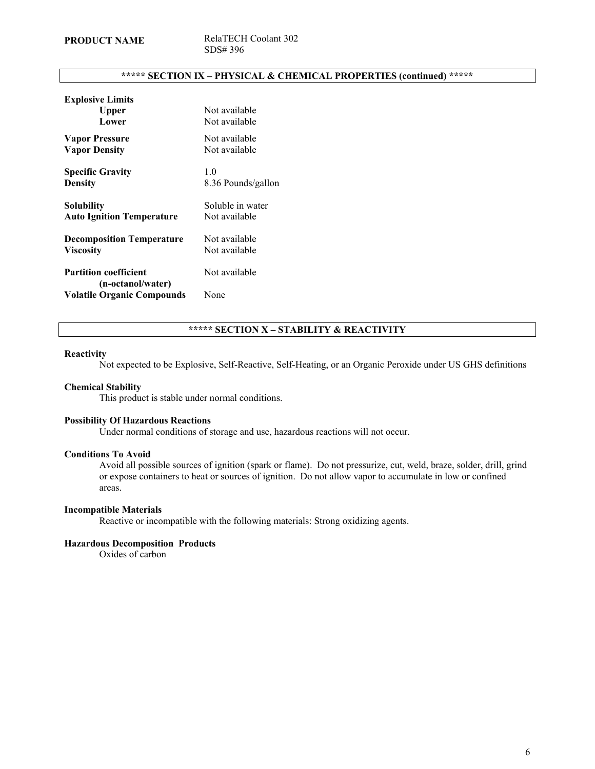# **\*\*\*\*\* SECTION IX – PHYSICAL & CHEMICAL PROPERTIES (continued) \*\*\*\*\***

| <b>Explosive Limits</b>           |                    |
|-----------------------------------|--------------------|
| Upper                             | Not available      |
| Lower                             | Not available      |
| <b>Vapor Pressure</b>             | Not available      |
| <b>Vapor Density</b>              | Not available      |
| <b>Specific Gravity</b>           | 1.0                |
| <b>Density</b>                    | 8.36 Pounds/gallon |
| <b>Solubility</b>                 | Soluble in water   |
| <b>Auto Ignition Temperature</b>  | Not available      |
| <b>Decomposition Temperature</b>  | Not available      |
| <b>Viscosity</b>                  | Not available      |
| <b>Partition coefficient</b>      | Not available      |
| (n-octanol/water)                 |                    |
| <b>Volatile Organic Compounds</b> | None               |

# **\*\*\*\*\* SECTION X – STABILITY & REACTIVITY**

#### **Reactivity**

Not expected to be Explosive, Self-Reactive, Self-Heating, or an Organic Peroxide under US GHS definitions

### **Chemical Stability**

This product is stable under normal conditions.

#### **Possibility Of Hazardous Reactions**

Under normal conditions of storage and use, hazardous reactions will not occur.

# **Conditions To Avoid**

Avoid all possible sources of ignition (spark or flame). Do not pressurize, cut, weld, braze, solder, drill, grind or expose containers to heat or sources of ignition. Do not allow vapor to accumulate in low or confined areas.

#### **Incompatible Materials**

Reactive or incompatible with the following materials: Strong oxidizing agents.

#### **Hazardous Decomposition Products**

Oxides of carbon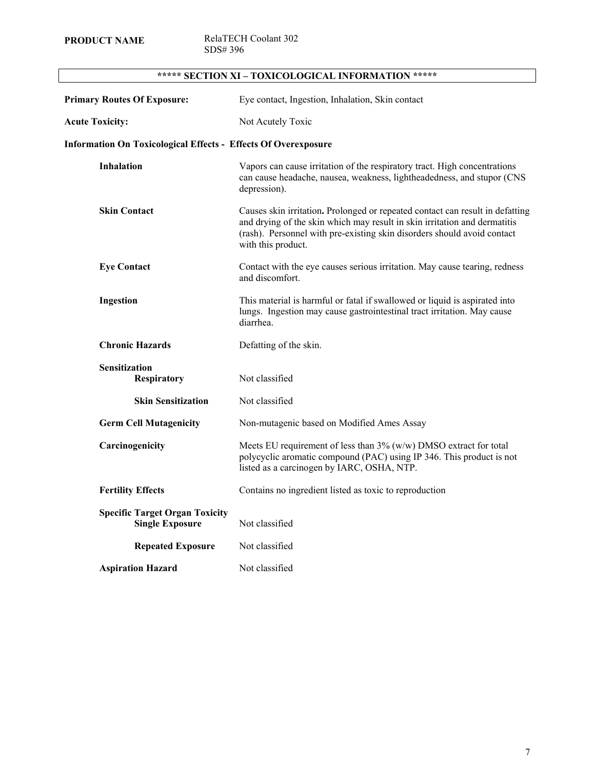**PRODUCT NAME** RelaTECH Coolant 302 SDS# 396

| SECTION XI – TOXICOLOGICAL INFORMATION *****                          |                                                                                                                                                                                                                                                             |
|-----------------------------------------------------------------------|-------------------------------------------------------------------------------------------------------------------------------------------------------------------------------------------------------------------------------------------------------------|
| <b>Primary Routes Of Exposure:</b>                                    | Eye contact, Ingestion, Inhalation, Skin contact                                                                                                                                                                                                            |
| <b>Acute Toxicity:</b>                                                | Not Acutely Toxic                                                                                                                                                                                                                                           |
| <b>Information On Toxicological Effects - Effects Of Overexposure</b> |                                                                                                                                                                                                                                                             |
| <b>Inhalation</b>                                                     | Vapors can cause irritation of the respiratory tract. High concentrations<br>can cause headache, nausea, weakness, lightheadedness, and stupor (CNS<br>depression).                                                                                         |
| <b>Skin Contact</b>                                                   | Causes skin irritation. Prolonged or repeated contact can result in defatting<br>and drying of the skin which may result in skin irritation and dermatitis<br>(rash). Personnel with pre-existing skin disorders should avoid contact<br>with this product. |
| <b>Eye Contact</b>                                                    | Contact with the eye causes serious irritation. May cause tearing, redness<br>and discomfort.                                                                                                                                                               |
| Ingestion                                                             | This material is harmful or fatal if swallowed or liquid is aspirated into<br>lungs. Ingestion may cause gastrointestinal tract irritation. May cause<br>diarrhea.                                                                                          |
| <b>Chronic Hazards</b>                                                | Defatting of the skin.                                                                                                                                                                                                                                      |
| <b>Sensitization</b><br><b>Respiratory</b>                            | Not classified                                                                                                                                                                                                                                              |
| <b>Skin Sensitization</b>                                             | Not classified                                                                                                                                                                                                                                              |
| <b>Germ Cell Mutagenicity</b>                                         | Non-mutagenic based on Modified Ames Assay                                                                                                                                                                                                                  |
| Carcinogenicity                                                       | Meets EU requirement of less than $3\%$ (w/w) DMSO extract for total<br>polycyclic aromatic compound (PAC) using IP 346. This product is not<br>listed as a carcinogen by IARC, OSHA, NTP.                                                                  |
| <b>Fertility Effects</b>                                              | Contains no ingredient listed as toxic to reproduction                                                                                                                                                                                                      |
| <b>Specific Target Organ Toxicity</b><br><b>Single Exposure</b>       | Not classified                                                                                                                                                                                                                                              |
| <b>Repeated Exposure</b>                                              | Not classified                                                                                                                                                                                                                                              |
| <b>Aspiration Hazard</b>                                              | Not classified                                                                                                                                                                                                                                              |

# **\*\*\*\*\* SECTION XI – TOXICOLOGICAL INFORMATION \*\*\*\*\***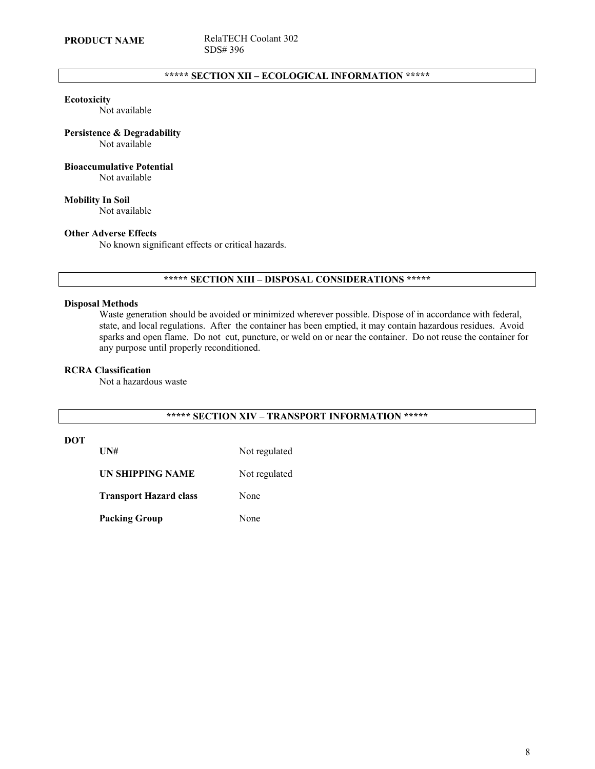# **\*\*\*\*\* SECTION XII – ECOLOGICAL INFORMATION \*\*\*\*\***

#### **Ecotoxicity**

Not available

# **Persistence & Degradability**

Not available

# **Bioaccumulative Potential**

Not available

**Mobility In Soil** Not available

#### **Other Adverse Effects**

No known significant effects or critical hazards.

# **\*\*\*\*\* SECTION XIII – DISPOSAL CONSIDERATIONS \*\*\*\*\***

#### **Disposal Methods**

Waste generation should be avoided or minimized wherever possible. Dispose of in accordance with federal, state, and local regulations. After the container has been emptied, it may contain hazardous residues. Avoid sparks and open flame. Do not cut, puncture, or weld on or near the container. Do not reuse the container for any purpose until properly reconditioned.

#### **RCRA Classification**

Not a hazardous waste

# **\*\*\*\*\* SECTION XIV – TRANSPORT INFORMATION \*\*\*\*\***

# **DOT**

UN# Not regulated

**UN SHIPPING NAME** Not regulated

**Transport Hazard class** None

Packing Group None